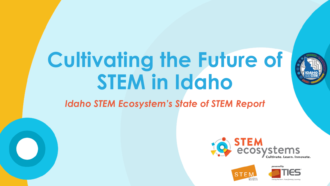# **Cultivating the Future of STEM in Idaho**

### *Idaho STEM Ecosystem's State of STEM Report*







Uniting Partners, Transfort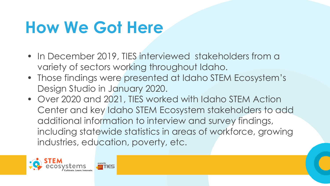## **How We Got Here**

- In December 2019, TIES interviewed stakeholders from a variety of sectors working throughout Idaho.
- Those findings were presented at Idaho STEM Ecosystem's Design Studio in January 2020.
- Over 2020 and 2021, TIES worked with Idaho STEM Action Center and key Idaho STEM Ecosystem stakeholders to add additional information to interview and survey findings, including statewide statistics in areas of workforce, growing industries, education, poverty, etc.

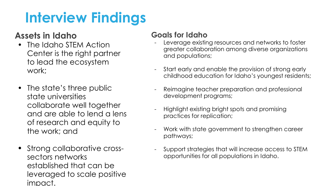### **Interview Findings**

### **Assets in Idaho**

- The Idaho STEM Action Center is the right partner to lead the ecosystem work;
- The state's three public state universities collaborate well together and are able to lend a lens of research and equity to the work; and
- Strong collaborative crosssectors networks established that can be leveraged to scale positive impact.

#### **Goals for Idaho**

- Leverage existing resources and networks to foster greater collaboration among diverse organizations and populations;
- Start early and enable the provision of strong early childhood education for Idaho's youngest residents;
- Reimagine teacher preparation and professional development programs;
- Highlight existing bright spots and promising practices for replication;
- Work with state government to strengthen career pathways;
- Support strategies that will increase access to STEM opportunities for all populations in Idaho.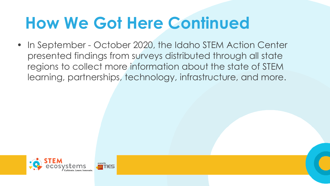## **How We Got Here Continued**

• In September - October 2020, the Idaho STEM Action Center presented findings from surveys distributed through all state regions to collect more information about the state of STEM learning, partnerships, technology, infrastructure, and more.

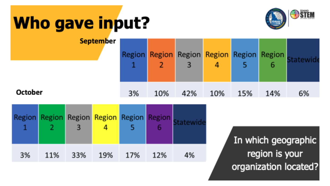## Who gave input?

October



| <b>September</b> |    | Region Region Region Region Region Region |     | 4   |     |     |    |
|------------------|----|-------------------------------------------|-----|-----|-----|-----|----|
|                  | 3% | 10%                                       | 42% | 10% | 15% | 14% | 6% |

|    |     |     | Region Region Region Region Region Region |     |     | tatewide |
|----|-----|-----|-------------------------------------------|-----|-----|----------|
| 3% | 11% | 33% | 19%                                       | 17% | 12% | 4%       |

In which geographic region is your organization located?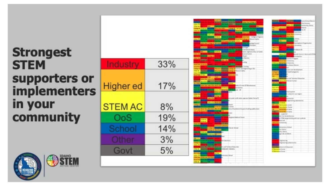### **Strongest STEM** supporters or<br>implementers in your community



| Industry         | 33% |
|------------------|-----|
| <b>Higher ed</b> | 17% |
| <b>STEM AC</b>   | 8%  |
| OoS              | 19% |
| School           | 14% |
| Other            | 3%  |
| Govt             | 5%  |

| <b>The Contract</b>                                         | <b><i><u>Marketten</u></i></b>                             |                                                |
|-------------------------------------------------------------|------------------------------------------------------------|------------------------------------------------|
| 1998)                                                       | ستحييته                                                    | <b>Minney Backgrown</b>                        |
| <b>TALK THE REAL</b><br><b>ESTACHER</b>                     |                                                            |                                                |
| <b>Critical Finance (STT)</b>                               | <b>Comput Territory</b>                                    | r,                                             |
| <b>TALANT</b>                                               |                                                            | <b>Burger Brand</b>                            |
|                                                             |                                                            | <b>Dealer Street, Square</b>                   |
| الدارسية<br><b>ANGELIA</b>                                  |                                                            | <b>A RALAS AN</b>                              |
|                                                             | <b>Branch</b>                                              | <b>Basic Add</b> - California Septemb          |
| <b>Column Property</b>                                      |                                                            | Cabana Vision Hano                             |
|                                                             | <b>Class</b>                                               | <u> 198</u>                                    |
| <b>Marine Print, Call Print, CA</b>                         |                                                            | <b><i>String Council</i></b>                   |
|                                                             |                                                            | <b>Postal</b> o                                |
| <b>Marine</b>                                               |                                                            | of figure                                      |
|                                                             |                                                            | Contemplation and                              |
|                                                             |                                                            | here impressibilities of Gold                  |
| <b>Distance International</b>                               | <b>START</b>                                               | <b>New Service</b><br><b>Household</b>         |
|                                                             |                                                            | o Districto                                    |
| <b>Direct Property Septiments</b>                           |                                                            | فتحتك                                          |
|                                                             |                                                            | <b>Service</b>                                 |
| <b>Book Ride Moderning</b>                                  |                                                            |                                                |
| <b>Billiam Brazil</b>                                       |                                                            | <b>Manufacturing</b>                           |
| <b>Definition</b>                                           | Hanner (Deserted Callege of Internet and Inspirating at DJ |                                                |
| <b>TIME Britan Ve</b><br><b>Britain Co.</b>                 | <b>Limited College &amp; Windows Safety</b>                |                                                |
| com 1933<br>فاستعاد                                         |                                                            |                                                |
| chart Grant J.                                              | <b>Carl Game particularly</b>                              |                                                |
|                                                             |                                                            |                                                |
| <b>Marine Dance Admin Dogs Big</b><br><b>REPORT</b>         |                                                            |                                                |
| <b>Arch. March Millery</b>                                  |                                                            |                                                |
| bacto ha cristing line, there has                           |                                                            | Indicational ST Distances (                    |
|                                                             |                                                            | <b>STATISTICS</b>                              |
|                                                             | <b><i><u>Contractor</u></i></b><br>sale (TL)               | te de                                          |
|                                                             | <b>Alerta</b>                                              |                                                |
|                                                             |                                                            |                                                |
| <b>DIALES</b>                                               | <b>College of</b>                                          |                                                |
|                                                             |                                                            | Present credit survival anchor development     |
| <b>CARL ES ENGINEERS</b>                                    |                                                            |                                                |
|                                                             | <b>Service</b>                                             |                                                |
|                                                             | كالمتحل<br><b>Common</b>                                   |                                                |
| - Inny News Test Elizabeth Bill C                           |                                                            | inna Foundation Segrero Sentrog politica torni |
| the of the Home City<br>المتحدة والمست                      |                                                            |                                                |
|                                                             | <b>Service</b>                                             |                                                |
|                                                             |                                                            |                                                |
|                                                             | Regional Medical Compa                                     |                                                |
| <b>POUL</b>                                                 |                                                            |                                                |
| 2014-42                                                     |                                                            |                                                |
| <b>Line Ave</b>                                             | <b>STATISTICS</b>                                          |                                                |
|                                                             |                                                            |                                                |
| <b>Manuel Company</b>                                       | Core: imail                                                |                                                |
| <b>THE PERSON</b>                                           | ٠                                                          |                                                |
| <b>AND READY PROPERTY</b>                                   |                                                            |                                                |
|                                                             | <b>Service</b>                                             |                                                |
|                                                             |                                                            |                                                |
|                                                             | <b>Text Dearliness</b>                                     |                                                |
|                                                             |                                                            |                                                |
| a sin                                                       |                                                            |                                                |
|                                                             | have the Mine are should be a confinement approve          |                                                |
| <b>THE BRIDE</b><br>--                                      | HAD TO COUNTY<br>سيستا                                     |                                                |
| أكتستناك                                                    |                                                            |                                                |
|                                                             | <b>START</b>                                               |                                                |
| <b>Middle City</b>                                          | mining Street                                              |                                                |
| 1934 Dep (FRA) político 1934 y<br><b>Refer Due Andres D</b> |                                                            |                                                |
| <b>INSURE BUILDER</b>                                       |                                                            |                                                |
|                                                             |                                                            |                                                |

| <b>Links of the </b>                                                                                                |
|---------------------------------------------------------------------------------------------------------------------|
| <mark>Hummer Darbood (2000)</mark><br><mark>Arlea Escolaery</mark>                                                  |
|                                                                                                                     |
| <b>Matte City</b><br>ammunity Library.                                                                              |
| duction.<br><b>Burnstein</b>                                                                                        |
| $-11$                                                                                                               |
|                                                                                                                     |
| <b>BARTINER</b>                                                                                                     |
| <b>Burge Back Columnity</b><br>فاستخلفنا والمراد                                                                    |
| <u>1958 198</u>                                                                                                     |
| i, store,                                                                                                           |
|                                                                                                                     |
| - 18<br><b>ALCOHOL</b>                                                                                              |
| <b>Penastagene et Kinganiassian</b><br>للمستحققات                                                                   |
| <b>Making States</b> Stationships                                                                                   |
|                                                                                                                     |
| mena hast                                                                                                           |
| <b>Chairman RD</b>                                                                                                  |
|                                                                                                                     |
| المستن                                                                                                              |
| Mahar 1763<br>length factors there with PCAID                                                                       |
| distants<br><b>Property</b>                                                                                         |
| Scottist throughout:                                                                                                |
|                                                                                                                     |
| <b>Bally Guar</b> Generality                                                                                        |
| FIRE In a Bank Guar Grienrich                                                                                       |
| my father of Elisabeth<br>---                                                                                       |
|                                                                                                                     |
| isn.                                                                                                                |
| sterit and dradosome                                                                                                |
| <b>Countral programs</b>                                                                                            |
| l,<br><b>Marin</b>                                                                                                  |
|                                                                                                                     |
| ۸                                                                                                                   |
| erupat Toulesius Education                                                                                          |
| <b>Bang Stad lessed dama</b>                                                                                        |
|                                                                                                                     |
| <u> 1989 - 1989 - 1989 - 1989 - 1989 - 1989 - 1989 - 1989 - 1989 - 1989 - 1989 - 1989 - 1989 - 1989 - 1989 - 19</u> |
| متسسد                                                                                                               |
| ine manual                                                                                                          |
| <b>COMMON</b>                                                                                                       |
|                                                                                                                     |
| a missi miss<br>from spaces                                                                                         |
| in subsection our regions                                                                                           |
|                                                                                                                     |
| ٠<br>نسمعه                                                                                                          |
| ASPANSAS                                                                                                            |
| <b>Engineering sales</b>                                                                                            |
| <b>THE REAL</b>                                                                                                     |
|                                                                                                                     |
| <b>Charles Adam Committee</b>                                                                                       |
| <b>Nectuberies</b> Center                                                                                           |
| <b>Grobers are all this car</b><br>Ħ                                                                                |
| <b>Final III assumes of this co</b>                                                                                 |
|                                                                                                                     |
| <b>TOPOTA</b>                                                                                                       |
| no to tech bases.                                                                                                   |
|                                                                                                                     |
| in ESM programming with our students                                                                                |
| <b>COLLEGE</b>                                                                                                      |
| <b>Basic Antennis</b>                                                                                               |
|                                                                                                                     |
|                                                                                                                     |
| benefiers form.<br>In Library                                                                                       |
|                                                                                                                     |
| <b>SHEETS</b> by Linky                                                                                              |
|                                                                                                                     |
| <b>Contract of the American</b>                                                                                     |
|                                                                                                                     |
|                                                                                                                     |
|                                                                                                                     |
| imprint ing                                                                                                         |
| Brighton-Sty Letter expires                                                                                         |
|                                                                                                                     |
| <b>BURGER COULD BE SERVED AND RESEARCH</b>                                                                          |
|                                                                                                                     |
| <b>COMMUNICATION</b>                                                                                                |
| <b>COMMUNICATION</b>                                                                                                |
|                                                                                                                     |
|                                                                                                                     |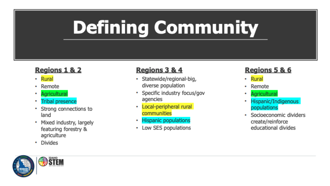# **Defining Community**

#### Regions 1 & 2

- Rural
- Remote
- Agricultural ٠
- **Tribal presence**
- Strong connections to ٠ land
- Mixed industry, largely featuring forestry & agriculture
- · Divides

#### Regions 3 & 4

- · Statewide/regional-big, diverse population
- Specific industry focus/gov agencies
- Local-peripheral rural communities
- Hispanic populations
- Low SES populations

#### **Regions 5 & 6**

- Rural
- Remote
- Agricultural œ
- Hispanic/Indigenous populations
- Socioeconomic dividers create/reinforce educational divides

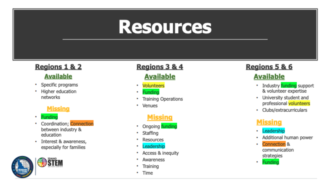## **Resources**

#### Regions 1 & 2 **Available**

- Specific programs ω.
- Higher education networks

#### **Missing**

- Funding ω.
- Coordination; Connection Φ. between industry & education
- · Interest & awareness, especially for families



### Regions 3 & 4

#### **Available**

- \* Volunteers
- Funding
- **Training Operations** ш.
- \* Venues

#### **Missing**

- Ongoing funding  $\mathbf{u}$  .
- Staffing
- Resources
- Leadership .
- Access & inequity
- Awareness
- Training
- Time **B** ...

### Regions 5 & 6

#### **Available**

- Industry funding support & volunteer expertise
- University student and professional volunteers
- · Clubs/extracurriculars

#### **Missing**

- Leadership ٠
- Additional human power
- Connection<sup>&</sup> communication strategies
- \* Funding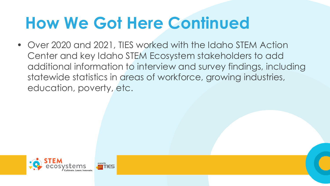## **How We Got Here Continued**

• Over 2020 and 2021, TIES worked with the Idaho STEM Action Center and key Idaho STEM Ecosystem stakeholders to add additional information to interview and survey findings, including statewide statistics in areas of workforce, growing industries, education, poverty, etc.

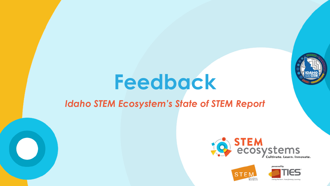

## **Feedback**

### *Idaho STEM Ecosystem's State of STEM Report*







Uniting Partners, Transforming Lea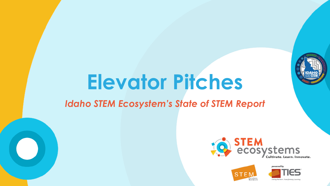

## **Elevator Pitches**

### *Idaho STEM Ecosystem's State of STEM Report*